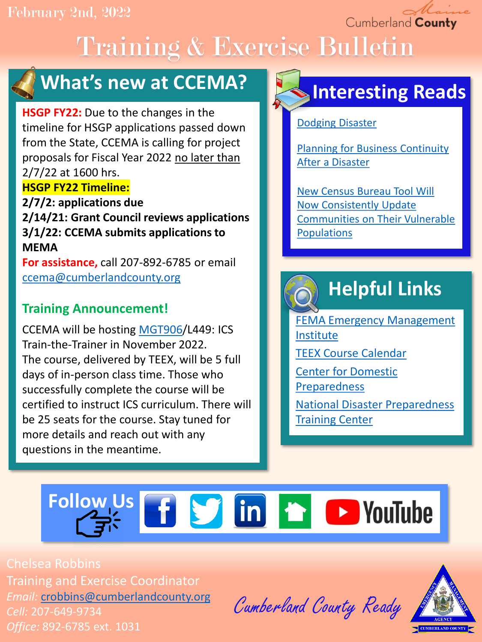Cumberland County

# Training & Exercise Bulletin



## **What's new at CCEMA?**

**HSGP FY22:** Due to the changes in the timeline for HSGP applications passed down from the State, CCEMA is calling for project proposals for Fiscal Year 2022 no later than 2/7/22 at 1600 hrs. **HSGP FY22 Timeline:**

**2/7/2: applications due 2/14/21: Grant Council reviews applications 3/1/22: CCEMA submits applications to MEMA**

**For assistance,** call 207-892-6785 or email [ccema@cumberlandcounty.org](mailto:ccema@cumberlandcounty.org)

### **Training Announcement!**

CCEMA will be hosting [MGT906/](https://docs.google.com/document/d/1t2XNuZyKYdBy-CvpGZlqOoCOh31wEnA4blzWcP3mVlg/edit?usp=sharing)L449: ICS Train-the-Trainer in November 2022. The course, delivered by TEEX, will be 5 full days of in-person class time. Those who successfully complete the course will be certified to instruct ICS curriculum. There will be 25 seats for the course. Stay tuned for more details and reach out with any questions in the meantime.

## **Interesting Reads**

[Dodging Disaster](https://www.themainemonitor.org/dodging-disaster/)

[Planning for Business Continuity](https://www.ehstoday.com/emergency-management/article/21920425/emergency-management-planning-for-business-continuity-after-a-disaster)  After a Disaster

New Census Bureau Tool Will Now Consistently Update [Communities on Their Vulnerable](https://www.census.gov/library/stories/2021/09/measuring-communities-resilience-in-the-face-of-adversity.html)  **Populations** 

## **Helpful Links**

[FEMA Emergency Management](https://training.fema.gov/is/) Institute [TEEX Course Calendar](https://teex.org/course-calendar/) [Center for Domestic](https://cdp.dhs.gov/)  Preparedness [National Disaster Preparedness](https://ndptc.hawaii.edu/training/) 

**Training Center** 

# Follow Us **f S** in **f D** YouTube

Chelsea Robbins Training and Exercise Coordinator *Email:* [crobbins@cumberlandcounty.org](mailto:crobbins@cumberlandcounty.org) *Cell:* 207-649-9734 *Office:* 892-6785 ext. 1031

Cumberland County Ready